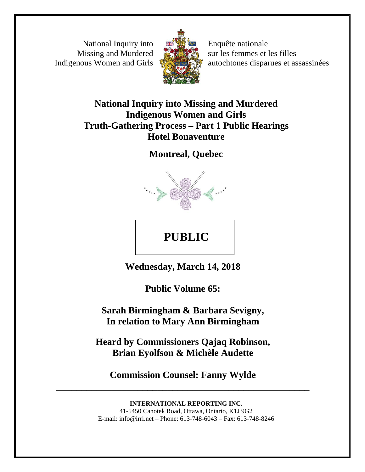National Inquiry into Missing and Murdered Indigenous Women and Girls



Enquête nationale sur les femmes et les filles autochtones disparues et assassinées

# **National Inquiry into Missing and Murdered Indigenous Women and Girls Truth-Gathering Process – Part 1 Public Hearings Hotel Bonaventure**

**Montreal, Quebec**



# **PUBLIC**

**Wednesday, March 14, 2018** 

**Public Volume 65:** 

**Sarah Birmingham & Barbara Sevigny, In relation to Mary Ann Birmingham** 

**Heard by Commissioners Qajaq Robinson, Brian Eyolfson & Michèle Audette**

**Commission Counsel: Fanny Wylde** \_\_\_\_\_\_\_\_\_\_\_\_\_\_\_\_\_\_\_\_\_\_\_\_\_\_\_\_\_\_\_\_\_\_\_\_\_\_\_\_\_\_\_\_\_\_\_\_\_\_

> **INTERNATIONAL REPORTING INC.** 41-5450 Canotek Road, Ottawa, Ontario, K1J 9G2 E-mail: info@irri.net – Phone: 613-748-6043 – Fax: 613-748-8246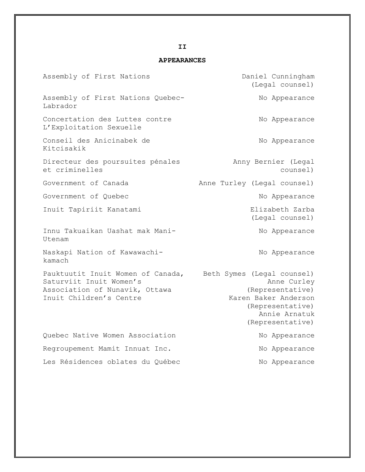### **APPEARANCES**

| Assembly of First Nations                                                                                                 | Daniel Cunningham<br>(Legal counsel)                                                                                                           |
|---------------------------------------------------------------------------------------------------------------------------|------------------------------------------------------------------------------------------------------------------------------------------------|
| Assembly of First Nations Quebec-<br>Labrador                                                                             | No Appearance                                                                                                                                  |
| Concertation des Luttes contre<br>L'Exploitation Sexuelle                                                                 | No Appearance                                                                                                                                  |
| Conseil des Anicinabek de<br>Kitcisakik                                                                                   | No Appearance                                                                                                                                  |
| Directeur des poursuites pénales<br>et criminelles                                                                        | Anny Bernier (Legal<br>counsel)                                                                                                                |
| Government of Canada                                                                                                      | Anne Turley (Legal counsel)                                                                                                                    |
| Government of Quebec                                                                                                      | No Appearance                                                                                                                                  |
| Inuit Tapiriit Kanatami                                                                                                   | Elizabeth Zarba<br>(Legal counsel)                                                                                                             |
| Innu Takuaikan Uashat mak Mani-<br>Utenam                                                                                 | No Appearance                                                                                                                                  |
| Naskapi Nation of Kawawachi-<br>kamach                                                                                    | No Appearance                                                                                                                                  |
| Pauktuutit Inuit Women of Canada,<br>Saturviit Inuit Women's<br>Association of Nunavik, Ottawa<br>Inuit Children's Centre | Beth Symes (Legal counsel)<br>Anne Curley<br>(Representative)<br>Karen Baker Anderson<br>(Representative)<br>Annie Arnatuk<br>(Representative) |
| Quebec Native Women Association                                                                                           | No Appearance                                                                                                                                  |
| Regroupement Mamit Innuat Inc.                                                                                            | No Appearance                                                                                                                                  |
| Les Résidences oblates du Québec                                                                                          | No Appearance                                                                                                                                  |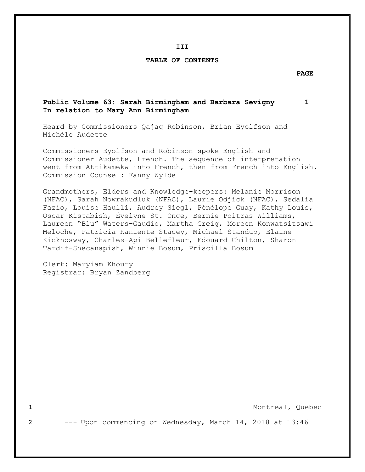**III**

#### **TABLE OF CONTENTS**

#### **PAGE**

## **Public Volume 63: Sarah Birmingham and Barbara Sevigny 1 In relation to Mary Ann Birmingham**

Heard by Commissioners Qajaq Robinson, Brian Eyolfson and Michèle Audette

Commissioners Eyolfson and Robinson spoke English and Commissioner Audette, French. The sequence of interpretation went from Attikamekw into French, then from French into English. Commission Counsel: Fanny Wylde

Grandmothers, Elders and Knowledge-keepers: Melanie Morrison (NFAC), Sarah Nowrakudluk (NFAC), Laurie Odjick (NFAC), Sedalia Fazio, Louise Haulli, Audrey Siegl, Pénélope Guay, Kathy Louis, Oscar Kistabish, Évelyne St. Onge, Bernie Poitras Williams, Laureen "Blu" Waters-Gaudio, Martha Greig, Moreen Konwatsitsawi Meloche, Patricia Kaniente Stacey, Michael Standup, Elaine Kicknosway, Charles-Api Bellefleur, Edouard Chilton, Sharon Tardif-Shecanapish, Winnie Bosum, Priscilla Bosum

Clerk: Maryiam Khoury Registrar: Bryan Zandberg

1 Montreal, Quebec

2 --- Upon commencing on Wednesday, March 14, 2018 at 13:46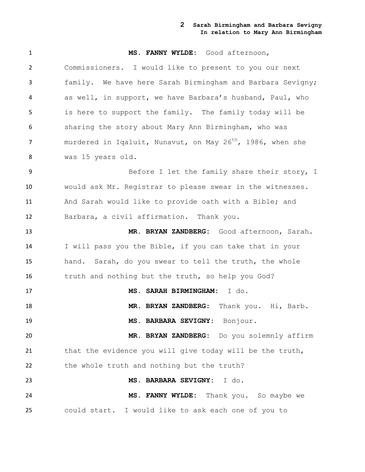| $\mathbf{1}$   | MS. FANNY WYLDE: Good afternoon,                                       |
|----------------|------------------------------------------------------------------------|
| $\overline{2}$ | Commissioners. I would like to present to you our next                 |
| 3              | family. We have here Sarah Birmingham and Barbara Sevigny;             |
| 4              | as well, in support, we have Barbara's husband, Paul, who              |
| 5              | is here to support the family. The family today will be                |
| 6              | sharing the story about Mary Ann Birmingham, who was                   |
| 7              | murdered in Iqaluit, Nunavut, on May 26 <sup>th</sup> , 1986, when she |
| 8              | was 15 years old.                                                      |
| 9              | Before I let the family share their story, I                           |
| 10             | would ask Mr. Registrar to please swear in the witnesses.              |
| 11             | And Sarah would like to provide oath with a Bible; and                 |
| 12             | Barbara, a civil affirmation. Thank you.                               |
| 13             | MR. BRYAN ZANDBERG: Good afternoon, Sarah.                             |
| 14             | I will pass you the Bible, if you can take that in your                |
| 15             | hand. Sarah, do you swear to tell the truth, the whole                 |
| 16             | truth and nothing but the truth, so help you God?                      |
| 17             | MS. SARAH BIRMINGHAM: I do.                                            |
| 18             | MR. BRYAN ZANDBERG: Thank you. Hi, Barb.                               |
| 19             | MS. BARBARA SEVIGNY: Bonjour.                                          |
| 20             | MR. BRYAN ZANDBERG: Do you solemnly affirm                             |
| 21             | that the evidence you will give today will be the truth,               |
| 22             | the whole truth and nothing but the truth?                             |
| 23             | MS. BARBARA SEVIGNY: I do.                                             |
| 24             | MS. FANNY WYLDE: Thank you. So maybe we                                |
| 25             | could start. I would like to ask each one of you to                    |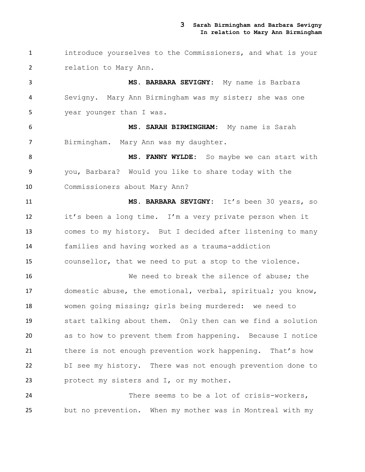introduce yourselves to the Commissioners, and what is your relation to Mary Ann.

 **MS. BARBARA SEVIGNY:** My name is Barbara Sevigny. Mary Ann Birmingham was my sister; she was one year younger than I was.

 **MS. SARAH BIRMINGHAM:** My name is Sarah Birmingham. Mary Ann was my daughter.

8 MS. FANNY WYLDE: So maybe we can start with you, Barbara? Would you like to share today with the Commissioners about Mary Ann?

 **MS. BARBARA SEVIGNY:** It's been 30 years, so it's been a long time. I'm a very private person when it comes to my history. But I decided after listening to many families and having worked as a trauma-addiction counsellor, that we need to put a stop to the violence.

 We need to break the silence of abuse; the domestic abuse, the emotional, verbal, spiritual; you know, women going missing; girls being murdered: we need to start talking about them. Only then can we find a solution as to how to prevent them from happening. Because I notice 21 there is not enough prevention work happening. That's how bI see my history. There was not enough prevention done to protect my sisters and I, or my mother.

 There seems to be a lot of crisis-workers, but no prevention. When my mother was in Montreal with my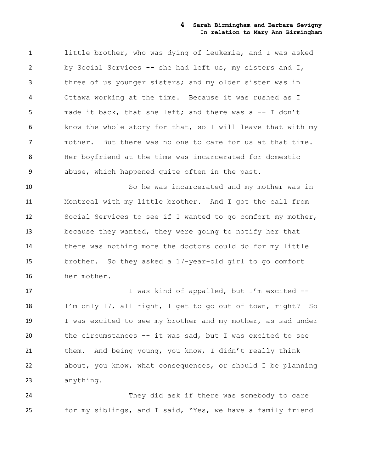little brother, who was dying of leukemia, and I was asked by Social Services -- she had left us, my sisters and I, three of us younger sisters; and my older sister was in Ottawa working at the time. Because it was rushed as I made it back, that she left; and there was a -- I don't know the whole story for that, so I will leave that with my mother. But there was no one to care for us at that time. Her boyfriend at the time was incarcerated for domestic abuse, which happened quite often in the past.

 So he was incarcerated and my mother was in Montreal with my little brother. And I got the call from Social Services to see if I wanted to go comfort my mother, because they wanted, they were going to notify her that there was nothing more the doctors could do for my little brother. So they asked a 17-year-old girl to go comfort her mother.

17 I was kind of appalled, but I'm excited -- I'm only 17, all right, I get to go out of town, right? So 19 I was excited to see my brother and my mother, as sad under the circumstances -- it was sad, but I was excited to see 21 them. And being young, you know, I didn't really think about, you know, what consequences, or should I be planning anything.

 They did ask if there was somebody to care for my siblings, and I said, "Yes, we have a family friend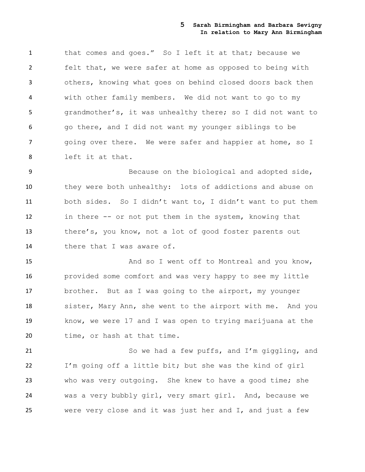1 that comes and goes." So I left it at that; because we felt that, we were safer at home as opposed to being with others, knowing what goes on behind closed doors back then with other family members. We did not want to go to my grandmother's, it was unhealthy there; so I did not want to go there, and I did not want my younger siblings to be 7 going over there. We were safer and happier at home, so I left it at that.

 Because on the biological and adopted side, they were both unhealthy: lots of addictions and abuse on both sides. So I didn't want to, I didn't want to put them in there -- or not put them in the system, knowing that there's, you know, not a lot of good foster parents out 14 there that I was aware of.

 And so I went off to Montreal and you know, provided some comfort and was very happy to see my little brother. But as I was going to the airport, my younger sister, Mary Ann, she went to the airport with me. And you know, we were 17 and I was open to trying marijuana at the 20 time, or hash at that time.

 So we had a few puffs, and I'm giggling, and I'm going off a little bit; but she was the kind of girl who was very outgoing. She knew to have a good time; she was a very bubbly girl, very smart girl. And, because we were very close and it was just her and I, and just a few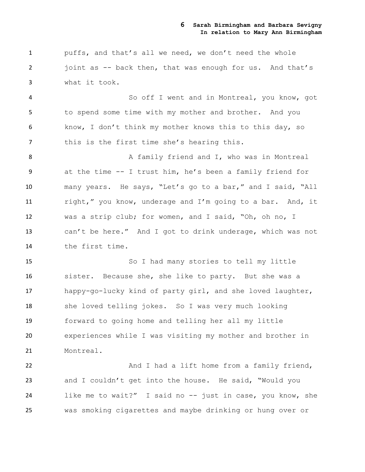puffs, and that's all we need, we don't need the whole 2 joint as -- back then, that was enough for us. And that's what it took.

 So off I went and in Montreal, you know, got to spend some time with my mother and brother. And you know, I don't think my mother knows this to this day, so 7 this is the first time she's hearing this.

8 A family friend and I, who was in Montreal at the time -- I trust him, he's been a family friend for many years. He says, "Let's go to a bar," and I said, "All right," you know, underage and I'm going to a bar. And, it was a strip club; for women, and I said, "Oh, oh no, I can't be here." And I got to drink underage, which was not the first time.

 So I had many stories to tell my little sister. Because she, she like to party. But she was a happy-go-lucky kind of party girl, and she loved laughter, she loved telling jokes. So I was very much looking forward to going home and telling her all my little experiences while I was visiting my mother and brother in Montreal.

**And I had a lift home from a family friend,**  and I couldn't get into the house. He said, "Would you like me to wait?" I said no -- just in case, you know, she was smoking cigarettes and maybe drinking or hung over or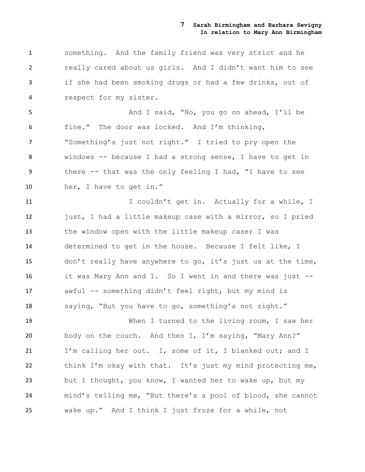something. And the family friend was very strict and he really cared about us girls. And I didn't want him to see if she had been smoking drugs or had a few drinks, out of respect for my sister.

 And I said, "No, you go on ahead, I'll be fine." The door was locked. And I'm thinking, "Something's just not right." I tried to pry open the windows -- because I had a strong sense, I have to get in there -- that was the only feeling I had, "I have to see her, I have to get in."

11 11 I couldn't get in. Actually for a while, I 12 just, I had a little makeup case with a mirror, so I pried 13 the window open with the little makeup case; I was determined to get in the house. Because I felt like, I don't really have anywhere to go, it's just us at the time, it was Mary Ann and I. So I went in and there was just -- awful -- something didn't feel right, but my mind is saying, "But you have to go, something's not right."

 When I turned to the living room, I saw her body on the couch. And then I, I'm saying, "Mary Ann?" I'm calling her out. I, some of it, I blanked out; and I think I'm okay with that. It's just my mind protecting me, but I thought, you know, I wanted her to wake up, but my mind's telling me, "But there's a pool of blood, she cannot wake up." And I think I just froze for a while, not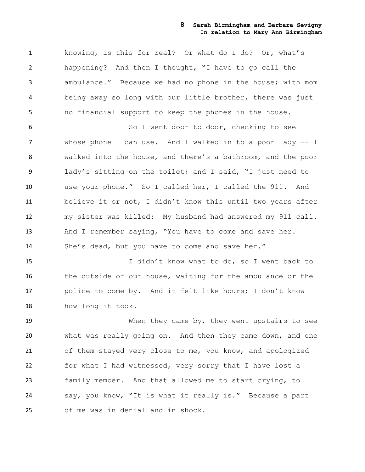knowing, is this for real? Or what do I do? Or, what's happening? And then I thought, "I have to go call the ambulance." Because we had no phone in the house; with mom being away so long with our little brother, there was just no financial support to keep the phones in the house.

 So I went door to door, checking to see whose phone I can use. And I walked in to a poor lady -- I walked into the house, and there's a bathroom, and the poor lady's sitting on the toilet; and I said, "I just need to use your phone." So I called her, I called the 911. And believe it or not, I didn't know this until two years after my sister was killed: My husband had answered my 911 call. 13 And I remember saying, "You have to come and save her. She's dead, but you have to come and save her."

 I didn't know what to do, so I went back to the outside of our house, waiting for the ambulance or the police to come by. And it felt like hours; I don't know how long it took.

 When they came by, they went upstairs to see what was really going on. And then they came down, and one of them stayed very close to me, you know, and apologized for what I had witnessed, very sorry that I have lost a family member. And that allowed me to start crying, to say, you know, "It is what it really is." Because a part of me was in denial and in shock.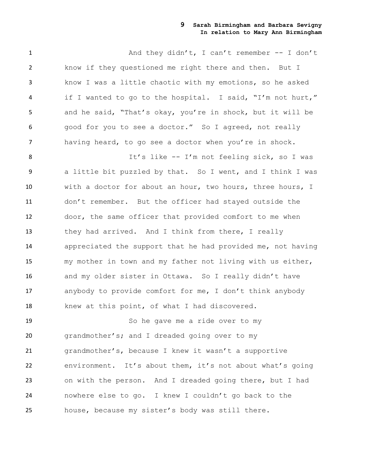1 And they didn't, I can't remember -- I don't know if they questioned me right there and then. But I know I was a little chaotic with my emotions, so he asked if I wanted to go to the hospital. I said, "I'm not hurt," and he said, "That's okay, you're in shock, but it will be good for you to see a doctor." So I agreed, not really having heard, to go see a doctor when you're in shock.

8 It's like -- I'm not feeling sick, so I was a little bit puzzled by that. So I went, and I think I was with a doctor for about an hour, two hours, three hours, I don't remember. But the officer had stayed outside the door, the same officer that provided comfort to me when 13 they had arrived. And I think from there, I really appreciated the support that he had provided me, not having my mother in town and my father not living with us either, and my older sister in Ottawa. So I really didn't have anybody to provide comfort for me, I don't think anybody knew at this point, of what I had discovered.

 So he gave me a ride over to my grandmother's; and I dreaded going over to my grandmother's, because I knew it wasn't a supportive environment. It's about them, it's not about what's going on with the person. And I dreaded going there, but I had nowhere else to go. I knew I couldn't go back to the house, because my sister's body was still there.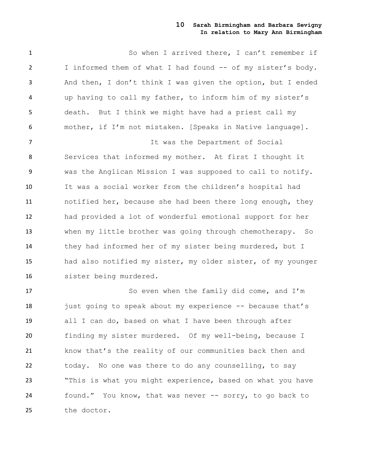So when I arrived there, I can't remember if 2 I informed them of what I had found -- of my sister's body. And then, I don't think I was given the option, but I ended up having to call my father, to inform him of my sister's death. But I think we might have had a priest call my mother, if I'm not mistaken. [Speaks in Native language]. It was the Department of Social Services that informed my mother. At first I thought it was the Anglican Mission I was supposed to call to notify. It was a social worker from the children's hospital had notified her, because she had been there long enough, they had provided a lot of wonderful emotional support for her when my little brother was going through chemotherapy. So they had informed her of my sister being murdered, but I had also notified my sister, my older sister, of my younger sister being murdered.

 So even when the family did come, and I'm 18 just going to speak about my experience -- because that's all I can do, based on what I have been through after finding my sister murdered. Of my well-being, because I know that's the reality of our communities back then and today. No one was there to do any counselling, to say 23 "This is what you might experience, based on what you have found." You know, that was never -- sorry, to go back to the doctor.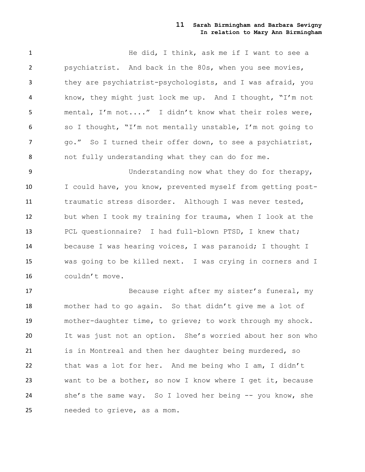**He did, I think, ask me if I want to see a**  psychiatrist. And back in the 80s, when you see movies, they are psychiatrist-psychologists, and I was afraid, you know, they might just lock me up. And I thought, "I'm not mental, I'm not...." I didn't know what their roles were, so I thought, "I'm not mentally unstable, I'm not going to 7 go." So I turned their offer down, to see a psychiatrist, not fully understanding what they can do for me.

 Understanding now what they do for therapy, 10 I could have, you know, prevented myself from getting post- traumatic stress disorder. Although I was never tested, but when I took my training for trauma, when I look at the PCL questionnaire? I had full-blown PTSD, I knew that; because I was hearing voices, I was paranoid; I thought I was going to be killed next. I was crying in corners and I couldn't move.

 Because right after my sister's funeral, my mother had to go again. So that didn't give me a lot of mother-daughter time, to grieve; to work through my shock. It was just not an option. She's worried about her son who 21 is in Montreal and then her daughter being murdered, so that was a lot for her. And me being who I am, I didn't want to be a bother, so now I know where I get it, because she's the same way. So I loved her being -- you know, she needed to grieve, as a mom.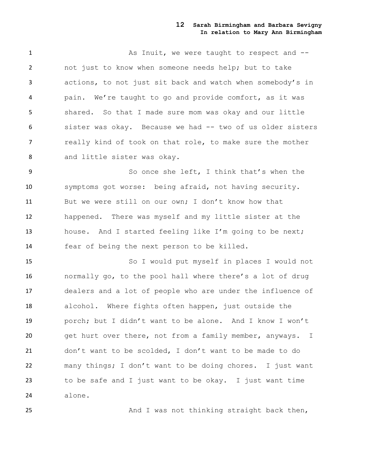1 As Inuit, we were taught to respect and  $-$  not just to know when someone needs help; but to take actions, to not just sit back and watch when somebody's in pain. We're taught to go and provide comfort, as it was shared. So that I made sure mom was okay and our little sister was okay. Because we had -- two of us older sisters really kind of took on that role, to make sure the mother and little sister was okay.

 So once she left, I think that's when the symptoms got worse: being afraid, not having security. But we were still on our own; I don't know how that happened. There was myself and my little sister at the house. And I started feeling like I'm going to be next; fear of being the next person to be killed.

 So I would put myself in places I would not normally go, to the pool hall where there's a lot of drug dealers and a lot of people who are under the influence of alcohol. Where fights often happen, just outside the porch; but I didn't want to be alone. And I know I won't 20 get hurt over there, not from a family member, anyways. I don't want to be scolded, I don't want to be made to do many things; I don't want to be doing chores. I just want to be safe and I just want to be okay. I just want time alone.

And I was not thinking straight back then,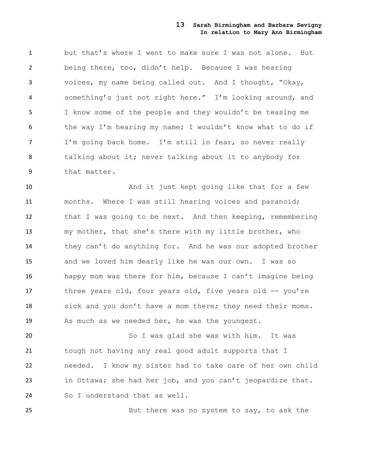but that's where I went to make sure I was not alone. But being there, too, didn't help. Because I was hearing voices, my name being called out. And I thought, "Okay, something's just not right here." I'm looking around, and I know some of the people and they wouldn't be teasing me the way I'm hearing my name; I wouldn't know what to do if I'm going back home. I'm still in fear, so never really talking about it; never talking about it to anybody for that matter.

10 And it just kept going like that for a few months. Where I was still hearing voices and paranoid; 12 that I was going to be next. And then keeping, remembering my mother, that she's there with my little brother, who they can't do anything for. And he was our adopted brother and we loved him dearly like he was our own. I was so happy mom was there for him, because I can't imagine being 17 three years old, four years old, five years old -- you're 18 sick and you don't have a mom there; they need their moms. As much as we needed her, he was the youngest.

 So I was glad she was with him. It was tough not having any real good adult supports that I needed. I know my sister had to take care of her own child in Ottawa; she had her job, and you can't jeopardize that. So I understand that as well.

But there was no system to say, to ask the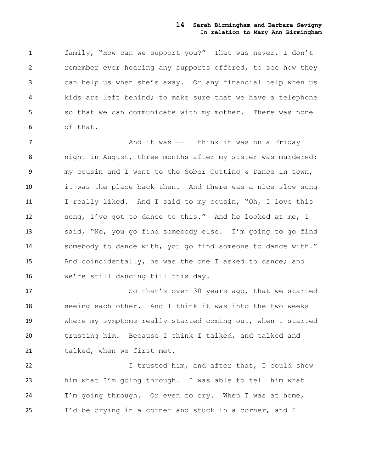family, "How can we support you?" That was never, I don't remember ever hearing any supports offered, to see how they can help us when she's away. Or any financial help when us kids are left behind; to make sure that we have a telephone so that we can communicate with my mother. There was none of that.

**And it was -- I think it was on a Friday**  night in August, three months after my sister was murdered: my cousin and I went to the Sober Cutting & Dance in town, it was the place back then. And there was a nice slow song 11 I really liked. And I said to my cousin, "Oh, I love this song, I've got to dance to this." And he looked at me, I said, "No, you go find somebody else. I'm going to go find somebody to dance with, you go find someone to dance with." And coincidentally, he was the one I asked to dance; and we're still dancing till this day.

17 So that's over 30 years ago, that we started seeing each other. And I think it was into the two weeks where my symptoms really started coming out, when I started trusting him. Because I think I talked, and talked and 21 talked, when we first met.

22 I trusted him, and after that, I could show him what I'm going through. I was able to tell him what I'm going through. Or even to cry. When I was at home, I'd be crying in a corner and stuck in a corner, and I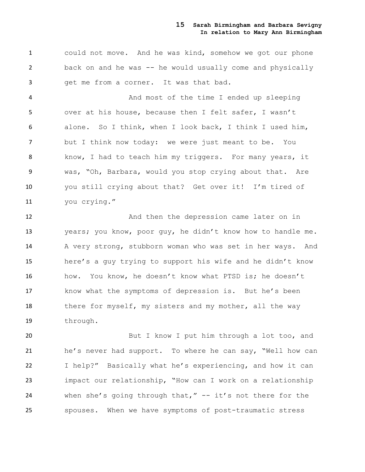could not move. And he was kind, somehow we got our phone back on and he was -- he would usually come and physically get me from a corner. It was that bad.

 And most of the time I ended up sleeping over at his house, because then I felt safer, I wasn't alone. So I think, when I look back, I think I used him, but I think now today: we were just meant to be. You 8 know, I had to teach him my triggers. For many years, it was, "Oh, Barbara, would you stop crying about that. Are you still crying about that? Get over it! I'm tired of you crying."

12 And then the depression came later on in years; you know, poor guy, he didn't know how to handle me. A very strong, stubborn woman who was set in her ways. And here's a guy trying to support his wife and he didn't know how. You know, he doesn't know what PTSD is; he doesn't know what the symptoms of depression is. But he's been 18 there for myself, my sisters and my mother, all the way through.

20 But I know I put him through a lot too, and he's never had support. To where he can say, "Well how can I help?" Basically what he's experiencing, and how it can impact our relationship, "How can I work on a relationship when she's going through that," -- it's not there for the spouses. When we have symptoms of post-traumatic stress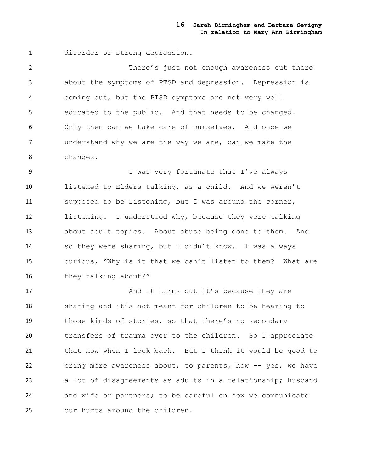disorder or strong depression.

 There's just not enough awareness out there about the symptoms of PTSD and depression. Depression is coming out, but the PTSD symptoms are not very well educated to the public. And that needs to be changed. Only then can we take care of ourselves. And once we understand why we are the way we are, can we make the changes.

9 I was very fortunate that I've always listened to Elders talking, as a child. And we weren't supposed to be listening, but I was around the corner, listening. I understood why, because they were talking about adult topics. About abuse being done to them. And so they were sharing, but I didn't know. I was always curious, "Why is it that we can't listen to them? What are 16 they talking about?"

17 And it turns out it's because they are sharing and it's not meant for children to be hearing to those kinds of stories, so that there's no secondary transfers of trauma over to the children. So I appreciate that now when I look back. But I think it would be good to bring more awareness about, to parents, how -- yes, we have a lot of disagreements as adults in a relationship; husband and wife or partners; to be careful on how we communicate our hurts around the children.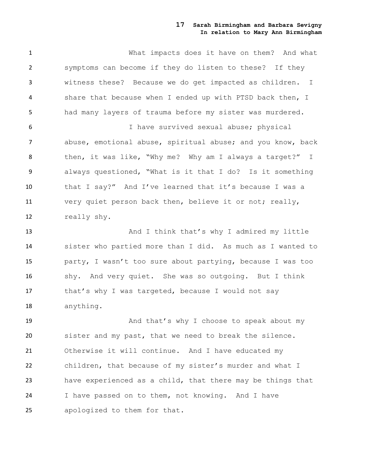What impacts does it have on them? And what symptoms can become if they do listen to these? If they witness these? Because we do get impacted as children. I share that because when I ended up with PTSD back then, I had many layers of trauma before my sister was murdered.

 I have survived sexual abuse; physical abuse, emotional abuse, spiritual abuse; and you know, back 8 then, it was like, "Why me? Why am I always a target?" I always questioned, "What is it that I do? Is it something that I say?" And I've learned that it's because I was a very quiet person back then, believe it or not; really, really shy.

13 And I think that's why I admired my little sister who partied more than I did. As much as I wanted to party, I wasn't too sure about partying, because I was too shy. And very quiet. She was so outgoing. But I think 17 that's why I was targeted, because I would not say anything.

19 And that's why I choose to speak about my sister and my past, that we need to break the silence. Otherwise it will continue. And I have educated my children, that because of my sister's murder and what I have experienced as a child, that there may be things that I have passed on to them, not knowing. And I have apologized to them for that.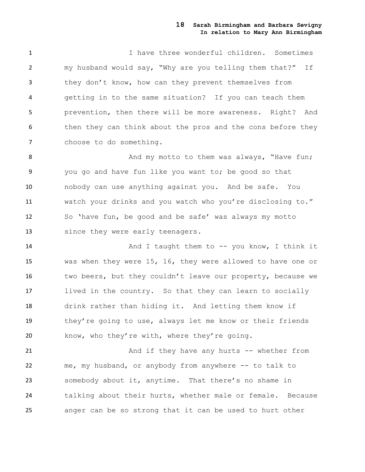1 I have three wonderful children. Sometimes my husband would say, "Why are you telling them that?" If they don't know, how can they prevent themselves from getting in to the same situation? If you can teach them prevention, then there will be more awareness. Right? And 6 then they can think about the pros and the cons before they 7 choose to do something.

8 And my motto to them was always, "Have fun; you go and have fun like you want to; be good so that nobody can use anything against you. And be safe. You watch your drinks and you watch who you're disclosing to." So 'have fun, be good and be safe' was always my motto since they were early teenagers.

14 And I taught them to -- you know, I think it was when they were 15, 16, they were allowed to have one or 16 two beers, but they couldn't leave our property, because we lived in the country. So that they can learn to socially drink rather than hiding it. And letting them know if they're going to use, always let me know or their friends know, who they're with, where they're going.

21 And if they have any hurts -- whether from 22 me, my husband, or anybody from anywhere -- to talk to somebody about it, anytime. That there's no shame in talking about their hurts, whether male or female. Because anger can be so strong that it can be used to hurt other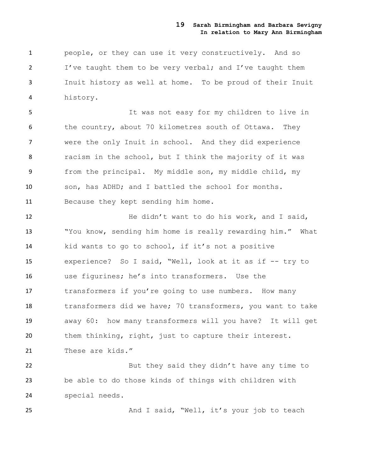people, or they can use it very constructively. And so I've taught them to be very verbal; and I've taught them Inuit history as well at home. To be proud of their Inuit history.

 It was not easy for my children to live in the country, about 70 kilometres south of Ottawa. They were the only Inuit in school. And they did experience racism in the school, but I think the majority of it was from the principal. My middle son, my middle child, my son, has ADHD; and I battled the school for months. Because they kept sending him home.

12 He didn't want to do his work, and I said, "You know, sending him home is really rewarding him." What kid wants to go to school, if it's not a positive experience? So I said, "Well, look at it as if -- try to use figurines; he's into transformers. Use the transformers if you're going to use numbers. How many transformers did we have; 70 transformers, you want to take away 60: how many transformers will you have? It will get them thinking, right, just to capture their interest. These are kids."

22 But they said they didn't have any time to be able to do those kinds of things with children with special needs.

And I said, "Well, it's your job to teach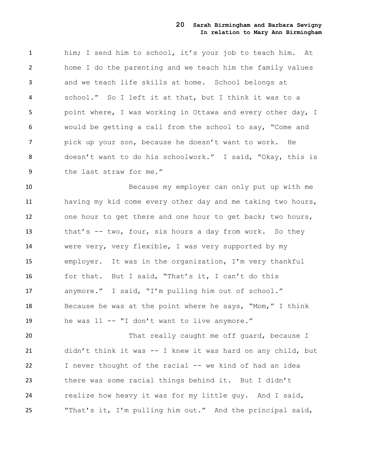him; I send him to school, it's your job to teach him. At home I do the parenting and we teach him the family values and we teach life skills at home. School belongs at school." So I left it at that, but I think it was to a point where, I was working in Ottawa and every other day, I would be getting a call from the school to say, "Come and pick up your son, because he doesn't want to work. He doesn't want to do his schoolwork." I said, "Okay, this is 9 the last straw for me."

 Because my employer can only put up with me having my kid come every other day and me taking two hours, one hour to get there and one hour to get back; two hours, 13 that's -- two, four, six hours a day from work. So they were very, very flexible, I was very supported by my employer. It was in the organization, I'm very thankful for that. But I said, "That's it, I can't do this anymore." I said, "I'm pulling him out of school." Because he was at the point where he says, "Mom," I think he was 11 -- "I don't want to live anymore."

20 That really caught me off guard, because I didn't think it was -- I knew it was hard on any child, but I never thought of the racial -- we kind of had an idea there was some racial things behind it. But I didn't realize how heavy it was for my little guy. And I said, "That's it, I'm pulling him out." And the principal said,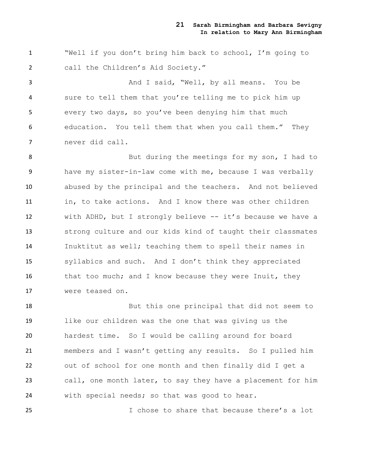"Well if you don't bring him back to school, I'm going to call the Children's Aid Society."

 And I said, "Well, by all means. You be sure to tell them that you're telling me to pick him up every two days, so you've been denying him that much education. You tell them that when you call them." They never did call.

8 But during the meetings for my son, I had to have my sister-in-law come with me, because I was verbally abused by the principal and the teachers. And not believed in, to take actions. And I know there was other children with ADHD, but I strongly believe -- it's because we have a strong culture and our kids kind of taught their classmates Inuktitut as well; teaching them to spell their names in syllabics and such. And I don't think they appreciated 16 that too much; and I know because they were Inuit, they were teased on.

 But this one principal that did not seem to like our children was the one that was giving us the hardest time. So I would be calling around for board members and I wasn't getting any results. So I pulled him out of school for one month and then finally did I get a call, one month later, to say they have a placement for him with special needs; so that was good to hear.

I chose to share that because there's a lot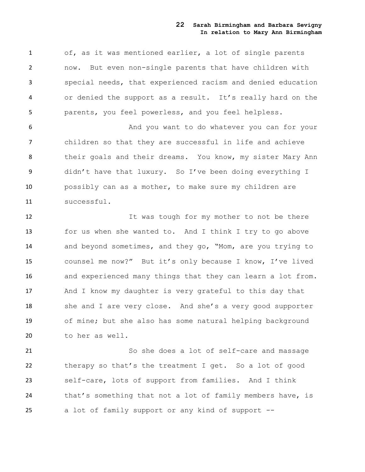of, as it was mentioned earlier, a lot of single parents now. But even non-single parents that have children with special needs, that experienced racism and denied education or denied the support as a result. It's really hard on the parents, you feel powerless, and you feel helpless.

 And you want to do whatever you can for your children so that they are successful in life and achieve their goals and their dreams. You know, my sister Mary Ann didn't have that luxury. So I've been doing everything I possibly can as a mother, to make sure my children are successful.

12 12 It was tough for my mother to not be there for us when she wanted to. And I think I try to go above and beyond sometimes, and they go, "Mom, are you trying to counsel me now?" But it's only because I know, I've lived and experienced many things that they can learn a lot from. And I know my daughter is very grateful to this day that she and I are very close. And she's a very good supporter of mine; but she also has some natural helping background to her as well.

 So she does a lot of self-care and massage therapy so that's the treatment I get. So a lot of good self-care, lots of support from families. And I think 24 that's something that not a lot of family members have, is a lot of family support or any kind of support --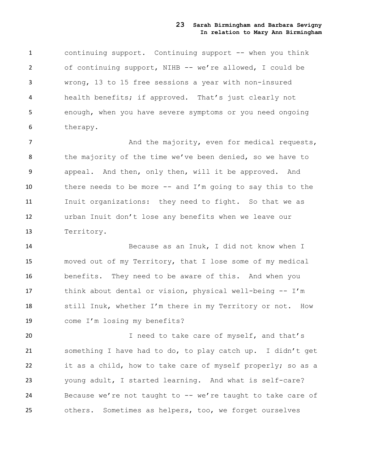continuing support. Continuing support -- when you think of continuing support, NIHB -- we're allowed, I could be wrong, 13 to 15 free sessions a year with non-insured health benefits; if approved. That's just clearly not enough, when you have severe symptoms or you need ongoing therapy.

7 And the majority, even for medical requests, 8 the majority of the time we've been denied, so we have to appeal. And then, only then, will it be approved. And there needs to be more -- and I'm going to say this to the Inuit organizations: they need to fight. So that we as urban Inuit don't lose any benefits when we leave our Territory.

 Because as an Inuk, I did not know when I moved out of my Territory, that I lose some of my medical benefits. They need to be aware of this. And when you think about dental or vision, physical well-being -- I'm still Inuk, whether I'm there in my Territory or not. How come I'm losing my benefits?

20 1 need to take care of myself, and that's something I have had to do, to play catch up. I didn't get it as a child, how to take care of myself properly; so as a young adult, I started learning. And what is self-care? 24 Because we're not taught to -- we're taught to take care of others. Sometimes as helpers, too, we forget ourselves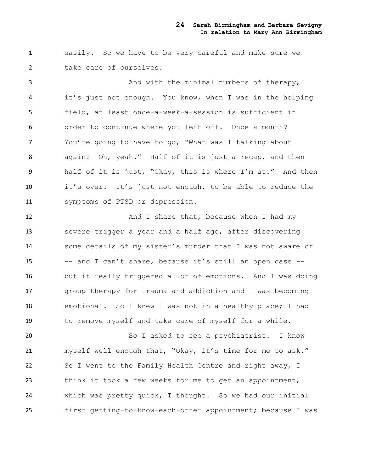easily. So we have to be very careful and make sure we take care of ourselves.

3 And with the minimal numbers of therapy, it's just not enough. You know, when I was in the helping field, at least once-a-week-a-session is sufficient in order to continue where you left off. Once a month? You're going to have to go, "What was I talking about again? Oh, yeah." Half of it is just a recap, and then half of it is just, "Okay, this is where I'm at." And then it's over. It's just not enough, to be able to reduce the symptoms of PTSD or depression.

12 And I share that, because when I had my severe trigger a year and a half ago, after discovering some details of my sister's murder that I was not aware of -- and I can't share, because it's still an open case -- but it really triggered a lot of emotions. And I was doing group therapy for trauma and addiction and I was becoming emotional. So I knew I was not in a healthy place; I had to remove myself and take care of myself for a while.

 So I asked to see a psychiatrist. I know myself well enough that, "Okay, it's time for me to ask." So I went to the Family Health Centre and right away, I think it took a few weeks for me to get an appointment, which was pretty quick, I thought. So we had our initial first getting-to-know-each-other appointment; because I was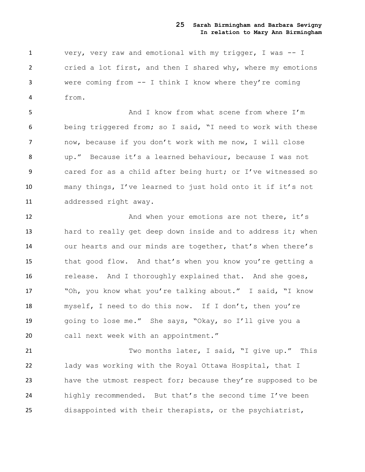very, very raw and emotional with my trigger, I was -- I cried a lot first, and then I shared why, where my emotions were coming from -- I think I know where they're coming from.

 And I know from what scene from where I'm being triggered from; so I said, "I need to work with these now, because if you don't work with me now, I will close up." Because it's a learned behaviour, because I was not cared for as a child after being hurt; or I've witnessed so many things, I've learned to just hold onto it if it's not addressed right away.

12 And when your emotions are not there, it's 13 hard to really get deep down inside and to address it; when our hearts and our minds are together, that's when there's that good flow. And that's when you know you're getting a release. And I thoroughly explained that. And she goes, 17 "Oh, you know what you're talking about." I said, "I know myself, I need to do this now. If I don't, then you're going to lose me." She says, "Okay, so I'll give you a call next week with an appointment."

 Two months later, I said, "I give up." This lady was working with the Royal Ottawa Hospital, that I have the utmost respect for; because they're supposed to be highly recommended. But that's the second time I've been disappointed with their therapists, or the psychiatrist,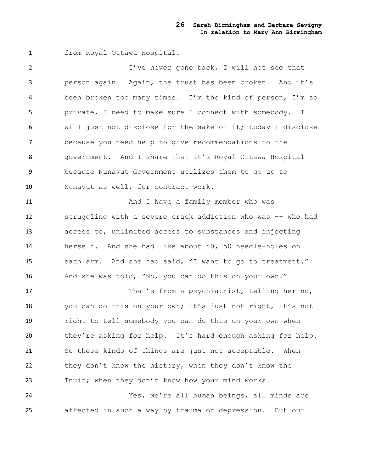from Royal Ottawa Hospital.

 I've never gone back, I will not see that person again. Again, the trust has been broken. And it's been broken too many times. I'm the kind of person, I'm so private, I need to make sure I connect with somebody. I will just not disclose for the sake of it; today I disclose because you need help to give recommendations to the government. And I share that it's Royal Ottawa Hospital because Nunavut Government utilizes them to go up to Nunavut as well, for contract work.

11 And I have a family member who was struggling with a severe crack addiction who was -- who had access to, unlimited access to substances and injecting herself. And she had like about 40, 50 needle-holes on each arm. And she had said, "I want to go to treatment." And she was told, "No, you can do this on your own."

 That's from a psychiatrist, telling her no, you can do this on your own; it's just not right, it's not right to tell somebody you can do this on your own when 20 they're asking for help. It's hard enough asking for help. So these kinds of things are just not acceptable. When 22 they don't know the history, when they don't know the Inuit; when they don't know how your mind works. Yes, we're all human beings, all minds are

affected in such a way by trauma or depression. But our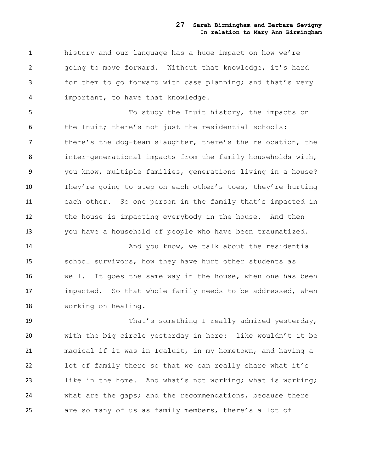history and our language has a huge impact on how we're going to move forward. Without that knowledge, it's hard for them to go forward with case planning; and that's very important, to have that knowledge.

 To study the Inuit history, the impacts on the Inuit; there's not just the residential schools: there's the dog-team slaughter, there's the relocation, the inter-generational impacts from the family households with, you know, multiple families, generations living in a house? They're going to step on each other's toes, they're hurting each other. So one person in the family that's impacted in 12 the house is impacting everybody in the house. And then you have a household of people who have been traumatized.

 And you know, we talk about the residential school survivors, how they have hurt other students as well. It goes the same way in the house, when one has been impacted. So that whole family needs to be addressed, when working on healing.

19 That's something I really admired yesterday, with the big circle yesterday in here: like wouldn't it be magical if it was in Iqaluit, in my hometown, and having a lot of family there so that we can really share what it's like in the home. And what's not working; what is working; what are the gaps; and the recommendations, because there are so many of us as family members, there's a lot of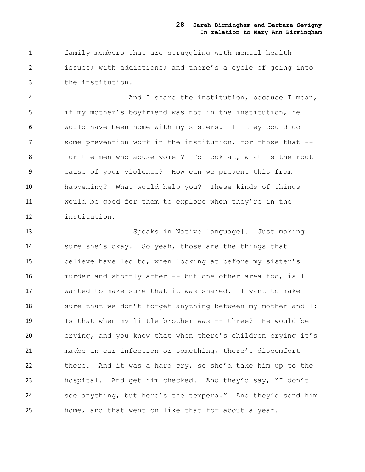family members that are struggling with mental health issues; with addictions; and there's a cycle of going into the institution.

 And I share the institution, because I mean, if my mother's boyfriend was not in the institution, he would have been home with my sisters. If they could do some prevention work in the institution, for those that -- for the men who abuse women? To look at, what is the root cause of your violence? How can we prevent this from happening? What would help you? These kinds of things would be good for them to explore when they're in the institution.

**13** [Speaks in Native language]. Just making 14 sure she's okay. So yeah, those are the things that I believe have led to, when looking at before my sister's murder and shortly after -- but one other area too, is I wanted to make sure that it was shared. I want to make 18 sure that we don't forget anything between my mother and I: Is that when my little brother was -- three? He would be crying, and you know that when there's children crying it's maybe an ear infection or something, there's discomfort there. And it was a hard cry, so she'd take him up to the hospital. And get him checked. And they'd say, "I don't see anything, but here's the tempera." And they'd send him home, and that went on like that for about a year.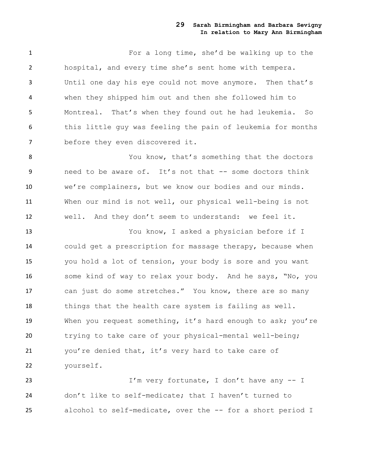For a long time, she'd be walking up to the hospital, and every time she's sent home with tempera. Until one day his eye could not move anymore. Then that's when they shipped him out and then she followed him to Montreal. That's when they found out he had leukemia. So this little guy was feeling the pain of leukemia for months before they even discovered it.

8 You know, that's something that the doctors need to be aware of. It's not that -- some doctors think we're complainers, but we know our bodies and our minds. When our mind is not well, our physical well-being is not well. And they don't seem to understand: we feel it.

 You know, I asked a physician before if I could get a prescription for massage therapy, because when you hold a lot of tension, your body is sore and you want some kind of way to relax your body. And he says, "No, you can just do some stretches." You know, there are so many things that the health care system is failing as well. When you request something, it's hard enough to ask; you're trying to take care of your physical-mental well-being; you're denied that, it's very hard to take care of yourself.

 I'm very fortunate, I don't have any -- I don't like to self-medicate; that I haven't turned to alcohol to self-medicate, over the -- for a short period I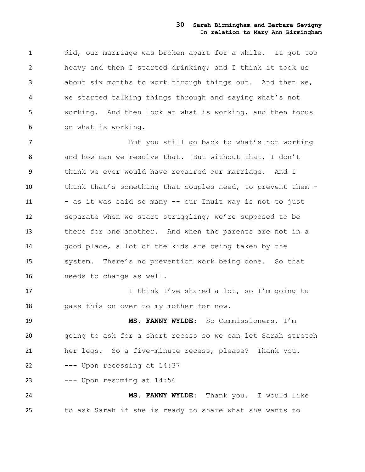did, our marriage was broken apart for a while. It got too heavy and then I started drinking; and I think it took us about six months to work through things out. And then we, we started talking things through and saying what's not working. And then look at what is working, and then focus on what is working.

 But you still go back to what's not working 8 and how can we resolve that. But without that, I don't think we ever would have repaired our marriage. And I think that's something that couples need, to prevent them - 11 - as it was said so many -- our Inuit way is not to just separate when we start struggling; we're supposed to be there for one another. And when the parents are not in a good place, a lot of the kids are being taken by the system. There's no prevention work being done. So that needs to change as well. 17 17 I think I've shared a lot, so I'm going to

pass this on over to my mother for now.

 **MS. FANNY WYLDE**: So Commissioners, I'm going to ask for a short recess so we can let Sarah stretch her legs. So a five-minute recess, please? Thank you. --- Upon recessing at  $14:37$ --- Upon resuming at 14:56

 **MS. FANNY WYLDE**: Thank you. I would like to ask Sarah if she is ready to share what she wants to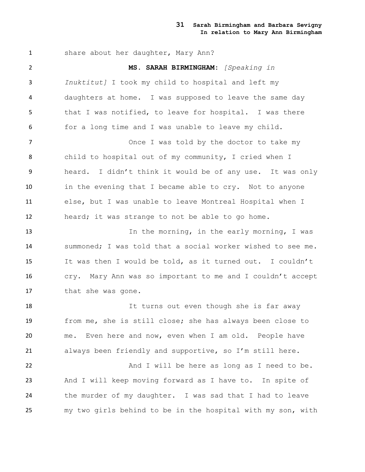1 share about her daughter, Mary Ann? **MS. SARAH BIRMINGHAM:** *[Speaking in Inuktitut]* I took my child to hospital and left my daughters at home. I was supposed to leave the same day that I was notified, to leave for hospital. I was there for a long time and I was unable to leave my child. 7 The Chamber of The United States once I was told by the doctor to take my child to hospital out of my community, I cried when I heard. I didn't think it would be of any use. It was only in the evening that I became able to cry. Not to anyone else, but I was unable to leave Montreal Hospital when I heard; it was strange to not be able to go home. 13 13 In the morning, in the early morning, I was summoned; I was told that a social worker wished to see me. It was then I would be told, as it turned out. I couldn't cry. Mary Ann was so important to me and I couldn't accept that she was gone. It turns out even though she is far away from me, she is still close; she has always been close to me. Even here and now, even when I am old. People have always been friendly and supportive, so I'm still here. 22 And I will be here as long as I need to be. And I will keep moving forward as I have to. In spite of the murder of my daughter. I was sad that I had to leave my two girls behind to be in the hospital with my son, with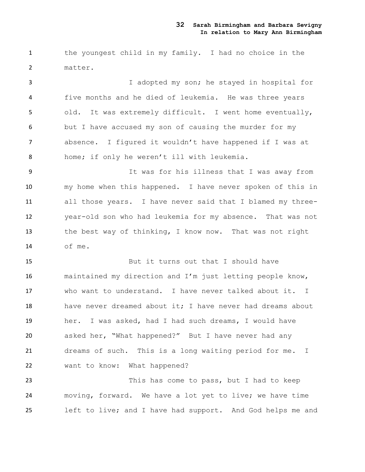the youngest child in my family. I had no choice in the matter.

 I adopted my son; he stayed in hospital for five months and he died of leukemia. He was three years old. It was extremely difficult. I went home eventually, but I have accused my son of causing the murder for my absence. I figured it wouldn't have happened if I was at home; if only he weren't ill with leukemia.

 It was for his illness that I was away from my home when this happened. I have never spoken of this in all those years. I have never said that I blamed my three- year-old son who had leukemia for my absence. That was not the best way of thinking, I know now. That was not right of me.

 But it turns out that I should have maintained my direction and I'm just letting people know, who want to understand. I have never talked about it. I 18 have never dreamed about it; I have never had dreams about her. I was asked, had I had such dreams, I would have asked her, "What happened?" But I have never had any dreams of such. This is a long waiting period for me. I want to know: What happened?

23 This has come to pass, but I had to keep moving, forward. We have a lot yet to live; we have time left to live; and I have had support. And God helps me and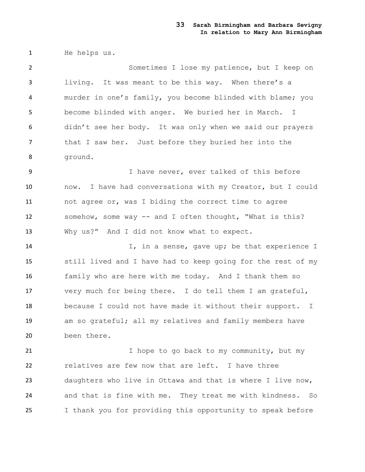He helps us.

 Sometimes I lose my patience, but I keep on living. It was meant to be this way. When there's a murder in one's family, you become blinded with blame; you become blinded with anger. We buried her in March. I didn't see her body. It was only when we said our prayers that I saw her. Just before they buried her into the ground.

 I have never, ever talked of this before now. I have had conversations with my Creator, but I could not agree or, was I biding the correct time to agree somehow, some way -- and I often thought, "What is this? Why us?" And I did not know what to expect.

 I, in a sense, gave up; be that experience I still lived and I have had to keep going for the rest of my family who are here with me today. And I thank them so very much for being there. I do tell them I am grateful, because I could not have made it without their support. I am so grateful; all my relatives and family members have been there.

21 I hope to go back to my community, but my relatives are few now that are left. I have three daughters who live in Ottawa and that is where I live now, and that is fine with me. They treat me with kindness. So I thank you for providing this opportunity to speak before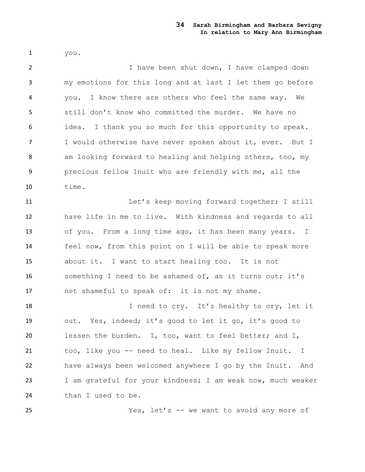you.

 I have been shut down, I have clamped down my emotions for this long and at last I let them go before you. I know there are others who feel the same way. We still don't know who committed the murder. We have no idea. I thank you so much for this opportunity to speak. I would otherwise have never spoken about it, ever. But I am looking forward to healing and helping others, too, my precious fellow Inuit who are friendly with me, all the time.

 Let's keep moving forward together; I still have life in me to live. With kindness and regards to all of you. From a long time ago, it has been many years. I feel now, from this point on I will be able to speak more about it. I want to start healing too. It is not something I need to be ashamed of, as it turns out; it's not shameful to speak of: it is not my shame.

18 I need to cry. It's healthy to cry, let it out. Yes, indeed; it's good to let it go, it's good to lessen the burden. I, too, want to feel better; and I, too, like you -- need to heal. Like my fellow Inuit. I have always been welcomed anywhere I go by the Inuit. And I am grateful for your kindness; I am weak now, much weaker 24 than I used to be.

Yes, let's -- we want to avoid any more of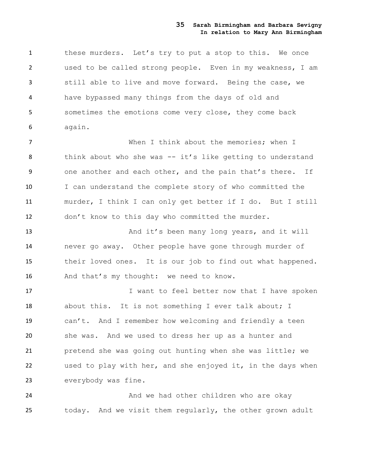these murders. Let's try to put a stop to this. We once used to be called strong people. Even in my weakness, I am still able to live and move forward. Being the case, we have bypassed many things from the days of old and sometimes the emotions come very close, they come back again.

 When I think about the memories; when I 8 think about who she was -- it's like getting to understand one another and each other, and the pain that's there. If I can understand the complete story of who committed the murder, I think I can only get better if I do. But I still don't know to this day who committed the murder.

13 And it's been many long years, and it will never go away. Other people have gone through murder of their loved ones. It is our job to find out what happened. 16 And that's my thought: we need to know.

17 I want to feel better now that I have spoken 18 about this. It is not something I ever talk about; I can't. And I remember how welcoming and friendly a teen she was. And we used to dress her up as a hunter and pretend she was going out hunting when she was little; we used to play with her, and she enjoyed it, in the days when everybody was fine.

**And we had other children who are okay** today. And we visit them regularly, the other grown adult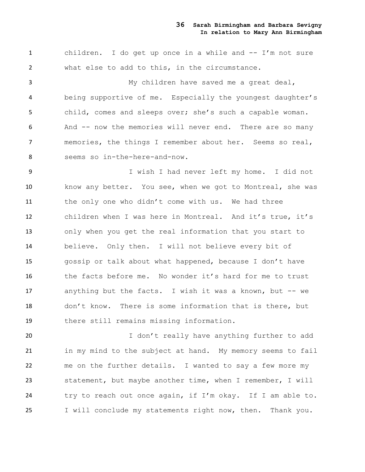children. I do get up once in a while and -- I'm not sure what else to add to this, in the circumstance.

 My children have saved me a great deal, being supportive of me. Especially the youngest daughter's child, comes and sleeps over; she's such a capable woman. And -- now the memories will never end. There are so many memories, the things I remember about her. Seems so real, seems so in-the-here-and-now.

 I wish I had never left my home. I did not know any better. You see, when we got to Montreal, she was 11 the only one who didn't come with us. We had three children when I was here in Montreal. And it's true, it's only when you get the real information that you start to believe. Only then. I will not believe every bit of gossip or talk about what happened, because I don't have the facts before me. No wonder it's hard for me to trust anything but the facts. I wish it was a known, but -- we don't know. There is some information that is there, but there still remains missing information.

20 1 don't really have anything further to add in my mind to the subject at hand. My memory seems to fail me on the further details. I wanted to say a few more my statement, but maybe another time, when I remember, I will try to reach out once again, if I'm okay. If I am able to. I will conclude my statements right now, then. Thank you.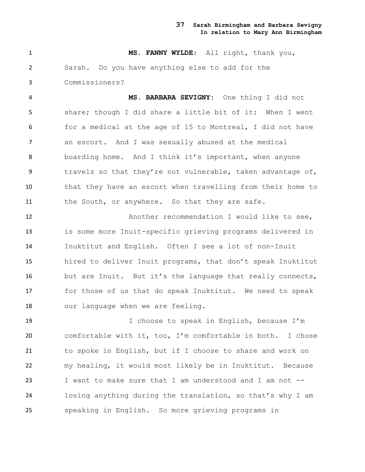**MS. FANNY WYLDE**: All right, thank you, Sarah. Do you have anything else to add for the Commissioners?

 **MS. BARBARA SEVIGNY:** One thing I did not share; though I did share a little bit of it: When I went for a medical at the age of 15 to Montreal, I did not have an escort. And I was sexually abused at the medical boarding home. And I think it's important, when anyone travels so that they're not vulnerable, taken advantage of, that they have an escort when travelling from their home to 11 the South, or anywhere. So that they are safe.

12 Another recommendation I would like to see, is some more Inuit-specific grieving programs delivered in Inuktitut and English. Often I see a lot of non-Inuit hired to deliver Inuit programs, that don't speak Inuktitut but are Inuit. But it's the language that really connects, for those of us that do speak Inuktitut. We need to speak 18 our language when we are feeling.

19 19 I choose to speak in English, because I'm comfortable with it, too, I'm comfortable in both. I chose to spoke in English, but if I choose to share and work on my healing, it would most likely be in Inuktitut. Because I want to make sure that I am understood and I am not -- losing anything during the translation, so that's why I am speaking in English. So more grieving programs in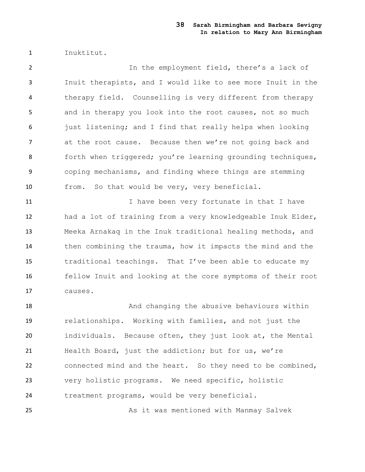Inuktitut.

 In the employment field, there's a lack of Inuit therapists, and I would like to see more Inuit in the therapy field. Counselling is very different from therapy and in therapy you look into the root causes, not so much 6 just listening; and I find that really helps when looking at the root cause. Because then we're not going back and 8 forth when triggered; you're learning grounding techniques, coping mechanisms, and finding where things are stemming from. So that would be very, very beneficial.

11 11 I have been very fortunate in that I have had a lot of training from a very knowledgeable Inuk Elder, Meeka Arnakaq in the Inuk traditional healing methods, and then combining the trauma, how it impacts the mind and the traditional teachings. That I've been able to educate my fellow Inuit and looking at the core symptoms of their root causes.

18 And changing the abusive behaviours within relationships. Working with families, and not just the individuals. Because often, they just look at, the Mental Health Board, just the addiction; but for us, we're connected mind and the heart. So they need to be combined, very holistic programs. We need specific, holistic treatment programs, would be very beneficial.

25 As it was mentioned with Manmay Salvek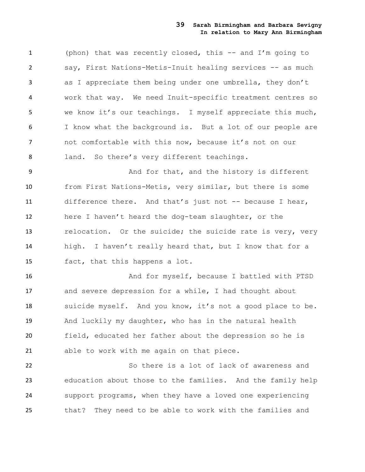(phon) that was recently closed, this -- and I'm going to say, First Nations-Metis-Inuit healing services -- as much as I appreciate them being under one umbrella, they don't work that way. We need Inuit-specific treatment centres so we know it's our teachings. I myself appreciate this much, I know what the background is. But a lot of our people are not comfortable with this now, because it's not on our 8 land. So there's very different teachings.

9 And for that, and the history is different from First Nations-Metis, very similar, but there is some difference there. And that's just not -- because I hear, here I haven't heard the dog-team slaughter, or the 13 relocation. Or the suicide; the suicide rate is very, very high. I haven't really heard that, but I know that for a fact, that this happens a lot.

 And for myself, because I battled with PTSD and severe depression for a while, I had thought about suicide myself. And you know, it's not a good place to be. And luckily my daughter, who has in the natural health field, educated her father about the depression so he is able to work with me again on that piece.

 So there is a lot of lack of awareness and education about those to the families. And the family help support programs, when they have a loved one experiencing that? They need to be able to work with the families and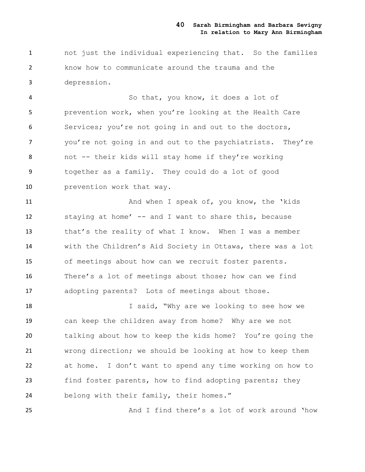not just the individual experiencing that. So the families know how to communicate around the trauma and the depression.

 So that, you know, it does a lot of prevention work, when you're looking at the Health Care Services; you're not going in and out to the doctors, you're not going in and out to the psychiatrists. They're not -- their kids will stay home if they're working together as a family. They could do a lot of good **prevention work that way.** 

11 And when I speak of, you know, the 'kids staying at home' -- and I want to share this, because that's the reality of what I know. When I was a member with the Children's Aid Society in Ottawa, there was a lot of meetings about how can we recruit foster parents. There's a lot of meetings about those; how can we find adopting parents? Lots of meetings about those.

18 I said, "Why are we looking to see how we can keep the children away from home? Why are we not talking about how to keep the kids home? You're going the wrong direction; we should be looking at how to keep them at home. I don't want to spend any time working on how to find foster parents, how to find adopting parents; they belong with their family, their homes."

And I find there's a lot of work around 'how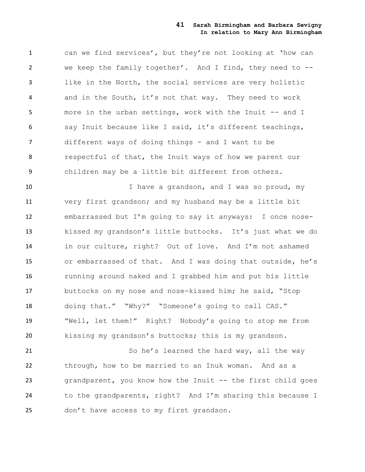can we find services', but they're not looking at 'how can we keep the family together'. And I find, they need to -- like in the North, the social services are very holistic and in the South, it's not that way. They need to work more in the urban settings, work with the Inuit -- and I say Inuit because like I said, it's different teachings, different ways of doing things - and I want to be respectful of that, the Inuit ways of how we parent our children may be a little bit different from others.

10 10 I have a grandson, and I was so proud, my very first grandson; and my husband may be a little bit embarrassed but I'm going to say it anyways: I once nose- kissed my grandson's little buttocks. It's just what we do in our culture, right? Out of love. And I'm not ashamed or embarrassed of that. And I was doing that outside, he's running around naked and I grabbed him and put his little buttocks on my nose and nose-kissed him; he said, "Stop doing that." "Why?" "Someone's going to call CAS." "Well, let them!" Right? Nobody's going to stop me from kissing my grandson's buttocks; this is my grandson.

21 So he's learned the hard way, all the way through, how to be married to an Inuk woman. And as a grandparent, you know how the Inuit -- the first child goes to the grandparents, right? And I'm sharing this because I 25 don't have access to my first grandson.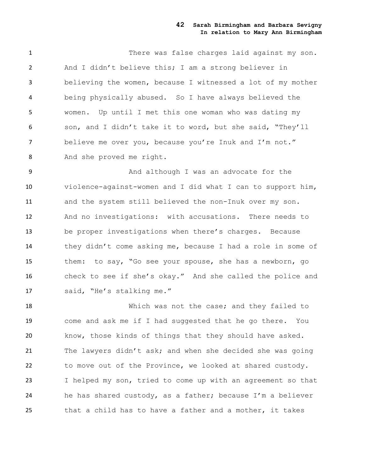There was false charges laid against my son. And I didn't believe this; I am a strong believer in believing the women, because I witnessed a lot of my mother being physically abused. So I have always believed the women. Up until I met this one woman who was dating my son, and I didn't take it to word, but she said, "They'll believe me over you, because you're Inuk and I'm not." And she proved me right.

 And although I was an advocate for the violence-against-women and I did what I can to support him, and the system still believed the non-Inuk over my son. And no investigations: with accusations. There needs to be proper investigations when there's charges. Because they didn't come asking me, because I had a role in some of them: to say, "Go see your spouse, she has a newborn, go check to see if she's okay." And she called the police and said, "He's stalking me."

 Which was not the case; and they failed to come and ask me if I had suggested that he go there. You know, those kinds of things that they should have asked. The lawyers didn't ask; and when she decided she was going to move out of the Province, we looked at shared custody. I helped my son, tried to come up with an agreement so that he has shared custody, as a father; because I'm a believer that a child has to have a father and a mother, it takes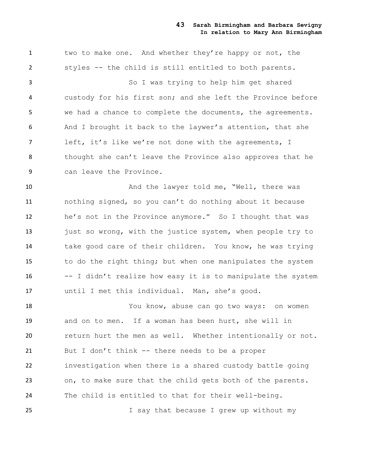1 two to make one. And whether they're happy or not, the styles -- the child is still entitled to both parents.

 So I was trying to help him get shared custody for his first son; and she left the Province before we had a chance to complete the documents, the agreements. And I brought it back to the laywer's attention, that she left, it's like we're not done with the agreements, I thought she can't leave the Province also approves that he can leave the Province.

10 And the lawyer told me, "Well, there was nothing signed, so you can't do nothing about it because he's not in the Province anymore." So I thought that was 13 just so wrong, with the justice system, when people try to take good care of their children. You know, he was trying to do the right thing; but when one manipulates the system -- I didn't realize how easy it is to manipulate the system until I met this individual. Man, she's good.

 You know, abuse can go two ways: on women and on to men. If a woman has been hurt, she will in return hurt the men as well. Whether intentionally or not. But I don't think -- there needs to be a proper investigation when there is a shared custody battle going on, to make sure that the child gets both of the parents. The child is entitled to that for their well-being.

I say that because I grew up without my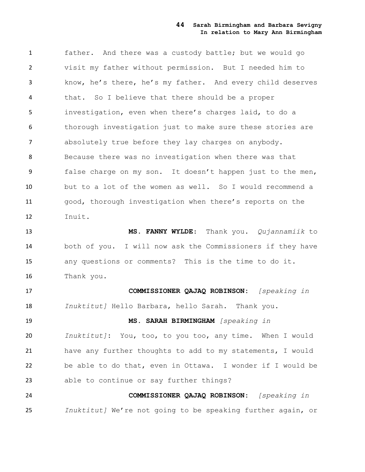father. And there was a custody battle; but we would go visit my father without permission. But I needed him to know, he's there, he's my father. And every child deserves that. So I believe that there should be a proper investigation, even when there's charges laid, to do a thorough investigation just to make sure these stories are absolutely true before they lay charges on anybody. Because there was no investigation when there was that false charge on my son. It doesn't happen just to the men, but to a lot of the women as well. So I would recommend a good, thorough investigation when there's reports on the Inuit.

 **MS. FANNY WYLDE**: Thank you. *Qujannamiik* to both of you. I will now ask the Commissioners if they have any questions or comments? This is the time to do it. Thank you.

 **COMMISSIONER QAJAQ ROBINSON:** *[speaking in Inuktitut]* Hello Barbara, hello Sarah. Thank you.

 **MS. SARAH BIRMINGHAM** *[speaking in Inuktitut]***:** You, too, to you too, any time. When I would have any further thoughts to add to my statements, I would be able to do that, even in Ottawa. I wonder if I would be able to continue or say further things?

 **COMMISSIONER QAJAQ ROBINSON:** *[speaking in Inuktitut]* We're not going to be speaking further again, or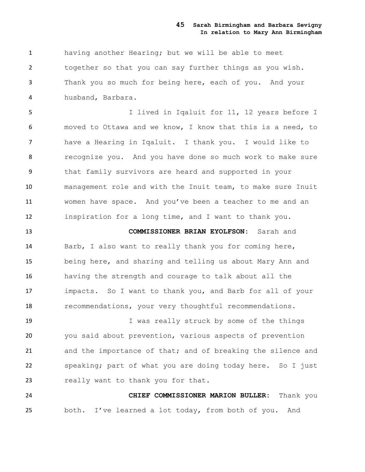having another Hearing; but we will be able to meet together so that you can say further things as you wish. Thank you so much for being here, each of you. And your husband, Barbara.

 I lived in Iqaluit for 11, 12 years before I moved to Ottawa and we know, I know that this is a need, to have a Hearing in Iqaluit. I thank you. I would like to recognize you. And you have done so much work to make sure that family survivors are heard and supported in your management role and with the Inuit team, to make sure Inuit women have space. And you've been a teacher to me and an inspiration for a long time, and I want to thank you.

 **COMMISSIONER BRIAN EYOLFSON:** Sarah and Barb, I also want to really thank you for coming here, being here, and sharing and telling us about Mary Ann and having the strength and courage to talk about all the impacts. So I want to thank you, and Barb for all of your 18 recommendations, your very thoughtful recommendations.

 I was really struck by some of the things you said about prevention, various aspects of prevention and the importance of that; and of breaking the silence and speaking; part of what you are doing today here. So I just 23 really want to thank you for that.

 **CHIEF COMMISSIONER MARION BULLER:** Thank you both. I've learned a lot today, from both of you. And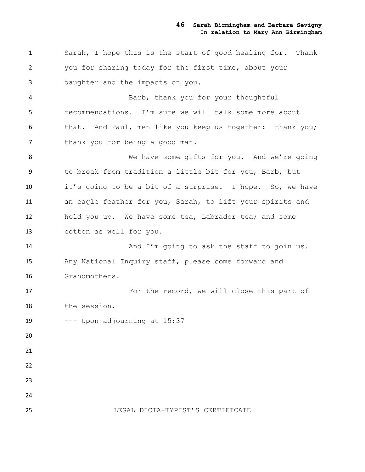Sarah, I hope this is the start of good healing for. Thank you for sharing today for the first time, about your daughter and the impacts on you.

 Barb, thank you for your thoughtful recommendations. I'm sure we will talk some more about that. And Paul, men like you keep us together: thank you; 7 thank you for being a good man.

8 We have some gifts for you. And we're going to break from tradition a little bit for you, Barb, but it's going to be a bit of a surprise. I hope. So, we have an eagle feather for you, Sarah, to lift your spirits and hold you up. We have some tea, Labrador tea; and some cotton as well for you.

14 And I'm going to ask the staff to join us. Any National Inquiry staff, please come forward and Grandmothers.

 For the record, we will close this part of the session.

--- Upon adjourning at 15:37

#### LEGAL DICTA-TYPIST'S CERTIFICATE